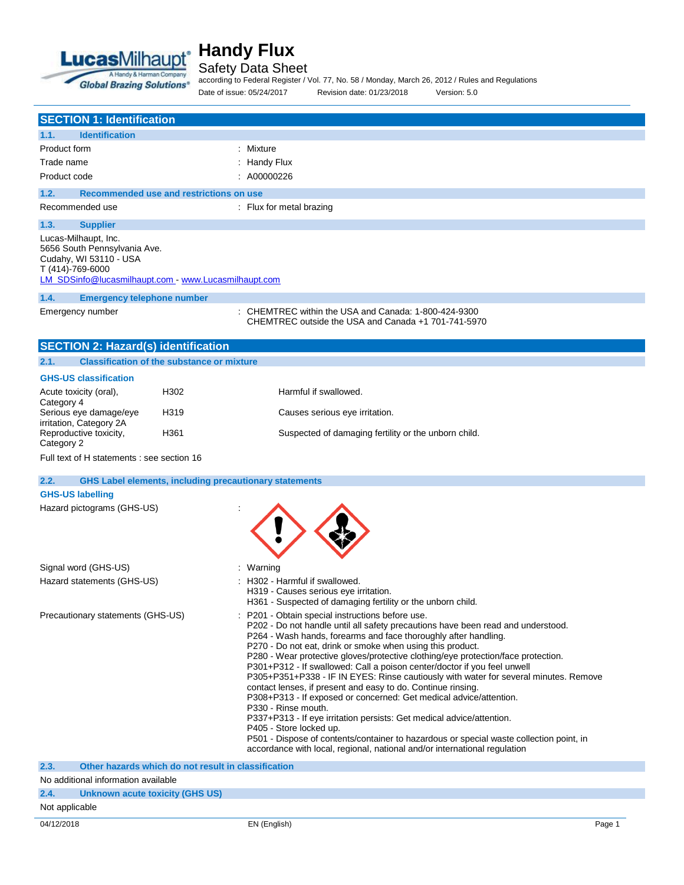

## Safety Data Sheet

according to Federal Register / Vol. 77, No. 58 / Monday, March 26, 2012 / Rules and Regulations Date of issue: 05/24/2017 Revision date: 01/23/2018 Version: 5.0

|                                   | <b>SECTION 1: Identification</b>                                               |                                                               |                                                                                                                                                                                                                                                                                                                                                                                                                                                                                                                                                                                                                                                                                                                                                                                                                                                                                                                                                                       |
|-----------------------------------|--------------------------------------------------------------------------------|---------------------------------------------------------------|-----------------------------------------------------------------------------------------------------------------------------------------------------------------------------------------------------------------------------------------------------------------------------------------------------------------------------------------------------------------------------------------------------------------------------------------------------------------------------------------------------------------------------------------------------------------------------------------------------------------------------------------------------------------------------------------------------------------------------------------------------------------------------------------------------------------------------------------------------------------------------------------------------------------------------------------------------------------------|
| 1.1.                              | <b>Identification</b>                                                          |                                                               |                                                                                                                                                                                                                                                                                                                                                                                                                                                                                                                                                                                                                                                                                                                                                                                                                                                                                                                                                                       |
| Product form                      |                                                                                |                                                               | : Mixture                                                                                                                                                                                                                                                                                                                                                                                                                                                                                                                                                                                                                                                                                                                                                                                                                                                                                                                                                             |
| Trade name                        |                                                                                |                                                               | : Handy Flux                                                                                                                                                                                                                                                                                                                                                                                                                                                                                                                                                                                                                                                                                                                                                                                                                                                                                                                                                          |
| Product code                      |                                                                                |                                                               | : A00000226                                                                                                                                                                                                                                                                                                                                                                                                                                                                                                                                                                                                                                                                                                                                                                                                                                                                                                                                                           |
|                                   |                                                                                |                                                               |                                                                                                                                                                                                                                                                                                                                                                                                                                                                                                                                                                                                                                                                                                                                                                                                                                                                                                                                                                       |
| 1.2.                              |                                                                                | Recommended use and restrictions on use                       |                                                                                                                                                                                                                                                                                                                                                                                                                                                                                                                                                                                                                                                                                                                                                                                                                                                                                                                                                                       |
|                                   | Recommended use                                                                |                                                               | $\therefore$ Flux for metal brazing                                                                                                                                                                                                                                                                                                                                                                                                                                                                                                                                                                                                                                                                                                                                                                                                                                                                                                                                   |
| 1.3.                              | <b>Supplier</b>                                                                |                                                               |                                                                                                                                                                                                                                                                                                                                                                                                                                                                                                                                                                                                                                                                                                                                                                                                                                                                                                                                                                       |
| T (414)-769-6000                  | Lucas-Milhaupt, Inc.<br>5656 South Pennsylvania Ave.<br>Cudahy, WI 53110 - USA | LM_SDSinfo@lucasmilhaupt.com - www.Lucasmilhaupt.com          |                                                                                                                                                                                                                                                                                                                                                                                                                                                                                                                                                                                                                                                                                                                                                                                                                                                                                                                                                                       |
| 1.4.                              | <b>Emergency telephone number</b>                                              |                                                               |                                                                                                                                                                                                                                                                                                                                                                                                                                                                                                                                                                                                                                                                                                                                                                                                                                                                                                                                                                       |
|                                   | Emergency number                                                               |                                                               | : CHEMTREC within the USA and Canada: 1-800-424-9300<br>CHEMTREC outside the USA and Canada +1 701-741-5970                                                                                                                                                                                                                                                                                                                                                                                                                                                                                                                                                                                                                                                                                                                                                                                                                                                           |
|                                   | <b>SECTION 2: Hazard(s) identification</b>                                     |                                                               |                                                                                                                                                                                                                                                                                                                                                                                                                                                                                                                                                                                                                                                                                                                                                                                                                                                                                                                                                                       |
| 2.1.                              |                                                                                | <b>Classification of the substance or mixture</b>             |                                                                                                                                                                                                                                                                                                                                                                                                                                                                                                                                                                                                                                                                                                                                                                                                                                                                                                                                                                       |
|                                   | <b>GHS-US classification</b>                                                   |                                                               |                                                                                                                                                                                                                                                                                                                                                                                                                                                                                                                                                                                                                                                                                                                                                                                                                                                                                                                                                                       |
|                                   | Acute toxicity (oral),                                                         | H302                                                          | Harmful if swallowed.                                                                                                                                                                                                                                                                                                                                                                                                                                                                                                                                                                                                                                                                                                                                                                                                                                                                                                                                                 |
| Category 4                        |                                                                                |                                                               |                                                                                                                                                                                                                                                                                                                                                                                                                                                                                                                                                                                                                                                                                                                                                                                                                                                                                                                                                                       |
|                                   | Serious eye damage/eye<br>irritation, Category 2A                              | H319                                                          | Causes serious eye irritation.                                                                                                                                                                                                                                                                                                                                                                                                                                                                                                                                                                                                                                                                                                                                                                                                                                                                                                                                        |
| Category 2                        | Reproductive toxicity,                                                         | H361                                                          | Suspected of damaging fertility or the unborn child.                                                                                                                                                                                                                                                                                                                                                                                                                                                                                                                                                                                                                                                                                                                                                                                                                                                                                                                  |
|                                   | Full text of H statements : see section 16                                     |                                                               |                                                                                                                                                                                                                                                                                                                                                                                                                                                                                                                                                                                                                                                                                                                                                                                                                                                                                                                                                                       |
|                                   |                                                                                |                                                               |                                                                                                                                                                                                                                                                                                                                                                                                                                                                                                                                                                                                                                                                                                                                                                                                                                                                                                                                                                       |
| 2.2.                              |                                                                                | <b>GHS Label elements, including precautionary statements</b> |                                                                                                                                                                                                                                                                                                                                                                                                                                                                                                                                                                                                                                                                                                                                                                                                                                                                                                                                                                       |
| <b>GHS-US labelling</b>           |                                                                                |                                                               |                                                                                                                                                                                                                                                                                                                                                                                                                                                                                                                                                                                                                                                                                                                                                                                                                                                                                                                                                                       |
|                                   | Hazard pictograms (GHS-US)                                                     |                                                               |                                                                                                                                                                                                                                                                                                                                                                                                                                                                                                                                                                                                                                                                                                                                                                                                                                                                                                                                                                       |
|                                   | Signal word (GHS-US)                                                           |                                                               | : Warning                                                                                                                                                                                                                                                                                                                                                                                                                                                                                                                                                                                                                                                                                                                                                                                                                                                                                                                                                             |
| Hazard statements (GHS-US)        |                                                                                |                                                               | : H302 - Harmful if swallowed.<br>H319 - Causes serious eye irritation.<br>H361 - Suspected of damaging fertility or the unborn child.                                                                                                                                                                                                                                                                                                                                                                                                                                                                                                                                                                                                                                                                                                                                                                                                                                |
| Precautionary statements (GHS-US) |                                                                                |                                                               | P201 - Obtain special instructions before use.<br>P202 - Do not handle until all safety precautions have been read and understood.<br>P264 - Wash hands, forearms and face thoroughly after handling.<br>P270 - Do not eat, drink or smoke when using this product.<br>P280 - Wear protective gloves/protective clothing/eye protection/face protection.<br>P301+P312 - If swallowed: Call a poison center/doctor if you feel unwell<br>P305+P351+P338 - IF IN EYES: Rinse cautiously with water for several minutes. Remove<br>contact lenses, if present and easy to do. Continue rinsing.<br>P308+P313 - If exposed or concerned: Get medical advice/attention.<br>P330 - Rinse mouth.<br>P337+P313 - If eye irritation persists: Get medical advice/attention.<br>P405 - Store locked up.<br>P501 - Dispose of contents/container to hazardous or special waste collection point, in<br>accordance with local, regional, national and/or international regulation |
| 2.3.                              |                                                                                | Other hazards which do not result in classification           |                                                                                                                                                                                                                                                                                                                                                                                                                                                                                                                                                                                                                                                                                                                                                                                                                                                                                                                                                                       |
|                                   | No additional information available                                            |                                                               |                                                                                                                                                                                                                                                                                                                                                                                                                                                                                                                                                                                                                                                                                                                                                                                                                                                                                                                                                                       |
| 2.4.                              | Unknown acute toxicity (GHS US)                                                |                                                               |                                                                                                                                                                                                                                                                                                                                                                                                                                                                                                                                                                                                                                                                                                                                                                                                                                                                                                                                                                       |

Not applicable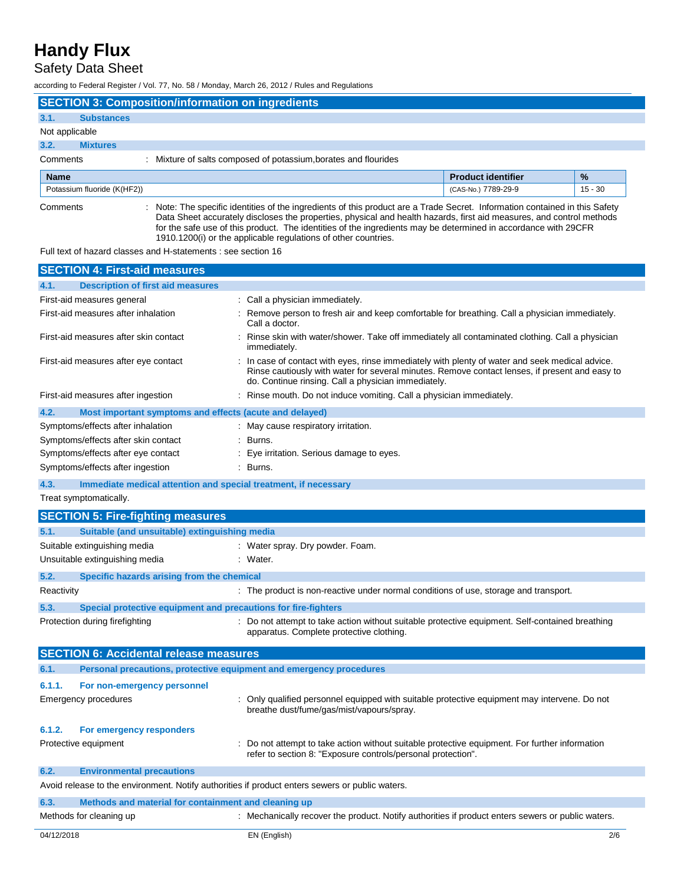## Safety Data Sheet

according to Federal Register / Vol. 77, No. 58 / Monday, March 26, 2012 / Rules and Regulations

|                |                             | <b>SECTION 3: Composition/information on ingredients</b> |                                                               |                           |               |
|----------------|-----------------------------|----------------------------------------------------------|---------------------------------------------------------------|---------------------------|---------------|
| 3.1.           | <b>Substances</b>           |                                                          |                                                               |                           |               |
| Not applicable |                             |                                                          |                                                               |                           |               |
| 3.2.           | <b>Mixtures</b>             |                                                          |                                                               |                           |               |
| Comments       |                             |                                                          | Mixture of salts composed of potassium, borates and flourides |                           |               |
| <b>Name</b>    |                             |                                                          |                                                               | <b>Product identifier</b> | $\frac{1}{2}$ |
|                |                             |                                                          |                                                               |                           |               |
|                | Potassium fluoride (K(HF2)) |                                                          |                                                               | (CAS-No.) 7789-29-9       | $15 - 30$     |

Full text of hazard classes and H-statements : see section 16

| <b>SECTION 4: First-aid measures</b>                                                                                         |                                                                                                                                                                                                                                                          |  |  |
|------------------------------------------------------------------------------------------------------------------------------|----------------------------------------------------------------------------------------------------------------------------------------------------------------------------------------------------------------------------------------------------------|--|--|
| <b>Description of first aid measures</b><br>4.1.                                                                             |                                                                                                                                                                                                                                                          |  |  |
| First-aid measures general                                                                                                   | : Call a physician immediately.                                                                                                                                                                                                                          |  |  |
| First-aid measures after inhalation                                                                                          | : Remove person to fresh air and keep comfortable for breathing. Call a physician immediately.<br>Call a doctor.                                                                                                                                         |  |  |
| First-aid measures after skin contact                                                                                        | Rinse skin with water/shower. Take off immediately all contaminated clothing. Call a physician<br>immediately.                                                                                                                                           |  |  |
| First-aid measures after eye contact                                                                                         | : In case of contact with eyes, rinse immediately with plenty of water and seek medical advice.<br>Rinse cautiously with water for several minutes. Remove contact lenses, if present and easy to<br>do. Continue rinsing. Call a physician immediately. |  |  |
| First-aid measures after ingestion                                                                                           | : Rinse mouth. Do not induce vomiting. Call a physician immediately.                                                                                                                                                                                     |  |  |
| 4.2.<br>Most important symptoms and effects (acute and delayed)                                                              |                                                                                                                                                                                                                                                          |  |  |
| Symptoms/effects after inhalation                                                                                            | : May cause respiratory irritation.                                                                                                                                                                                                                      |  |  |
| Symptoms/effects after skin contact                                                                                          | : Burns.                                                                                                                                                                                                                                                 |  |  |
| Symptoms/effects after eye contact                                                                                           | : Eye irritation. Serious damage to eyes.                                                                                                                                                                                                                |  |  |
| Symptoms/effects after ingestion                                                                                             | Burns.                                                                                                                                                                                                                                                   |  |  |
| 4.3.<br>Immediate medical attention and special treatment, if necessary                                                      |                                                                                                                                                                                                                                                          |  |  |
| Treat symptomatically.                                                                                                       |                                                                                                                                                                                                                                                          |  |  |
| <b>SECTION 5: Fire-fighting measures</b>                                                                                     |                                                                                                                                                                                                                                                          |  |  |
|                                                                                                                              |                                                                                                                                                                                                                                                          |  |  |
| 5.1.<br>Suitable (and unsuitable) extinguishing media                                                                        |                                                                                                                                                                                                                                                          |  |  |
| Suitable extinguishing media                                                                                                 | : Water spray. Dry powder. Foam.                                                                                                                                                                                                                         |  |  |
| Unsuitable extinguishing media                                                                                               | : Water.                                                                                                                                                                                                                                                 |  |  |
| 5.2.<br>Specific hazards arising from the chemical                                                                           |                                                                                                                                                                                                                                                          |  |  |
| Reactivity                                                                                                                   | : The product is non-reactive under normal conditions of use, storage and transport.                                                                                                                                                                     |  |  |
| 5.3.<br>Special protective equipment and precautions for fire-fighters                                                       |                                                                                                                                                                                                                                                          |  |  |
| Protection during firefighting                                                                                               | : Do not attempt to take action without suitable protective equipment. Self-contained breathing<br>apparatus. Complete protective clothing.                                                                                                              |  |  |
| <b>SECTION 6: Accidental release measures</b>                                                                                |                                                                                                                                                                                                                                                          |  |  |
| Personal precautions, protective equipment and emergency procedures<br>6.1.                                                  |                                                                                                                                                                                                                                                          |  |  |
| 6.1.1.<br>For non-emergency personnel                                                                                        |                                                                                                                                                                                                                                                          |  |  |
| <b>Emergency procedures</b>                                                                                                  | : Only qualified personnel equipped with suitable protective equipment may intervene. Do not<br>breathe dust/fume/gas/mist/vapours/spray.                                                                                                                |  |  |
| 6.1.2.<br>For emergency responders                                                                                           |                                                                                                                                                                                                                                                          |  |  |
| Protective equipment                                                                                                         | : Do not attempt to take action without suitable protective equipment. For further information<br>refer to section 8: "Exposure controls/personal protection".                                                                                           |  |  |
| 6.2.<br><b>Environmental precautions</b>                                                                                     |                                                                                                                                                                                                                                                          |  |  |
| Avoid release to the environment. Notify authorities if product enters sewers or public waters.                              |                                                                                                                                                                                                                                                          |  |  |
| 6.3.<br>Methods and material for containment and cleaning up                                                                 |                                                                                                                                                                                                                                                          |  |  |
| : Mechanically recover the product. Notify authorities if product enters sewers or public waters.<br>Methods for cleaning up |                                                                                                                                                                                                                                                          |  |  |
| 04/12/2018                                                                                                                   | EN (English)<br>2/6                                                                                                                                                                                                                                      |  |  |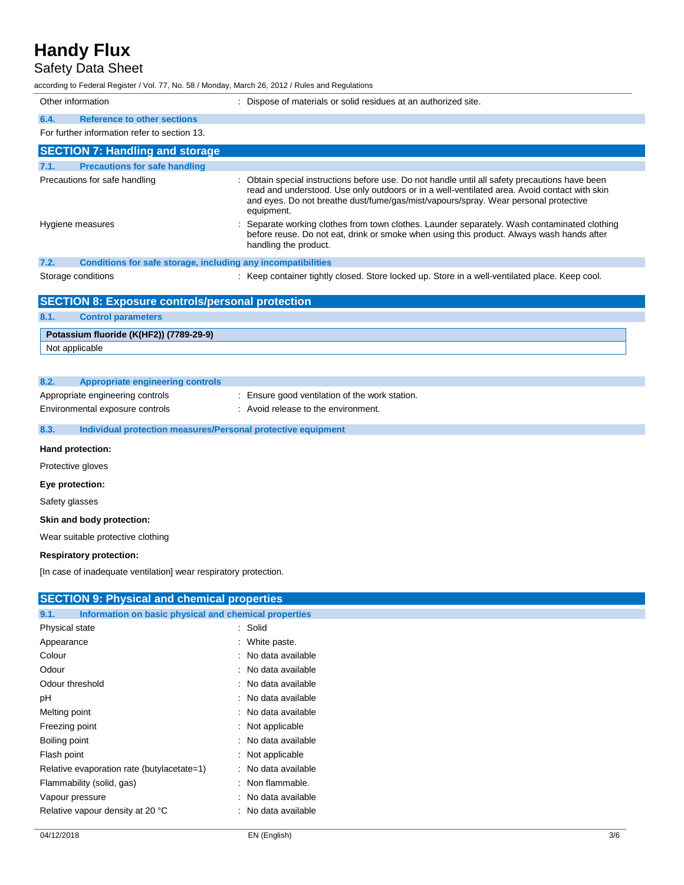## Safety Data Sheet

according to Federal Register / Vol. 77, No. 58 / Monday, March 26, 2012 / Rules and Regulations

| Other information                                                    | : Dispose of materials or solid residues at an authorized site.                                                                                                                                                                                                                                     |
|----------------------------------------------------------------------|-----------------------------------------------------------------------------------------------------------------------------------------------------------------------------------------------------------------------------------------------------------------------------------------------------|
| <b>Reference to other sections</b><br>6.4.                           |                                                                                                                                                                                                                                                                                                     |
| For further information refer to section 13.                         |                                                                                                                                                                                                                                                                                                     |
| <b>SECTION 7: Handling and storage</b>                               |                                                                                                                                                                                                                                                                                                     |
| <b>Precautions for safe handling</b><br>7.1.                         |                                                                                                                                                                                                                                                                                                     |
| Precautions for safe handling                                        | : Obtain special instructions before use. Do not handle until all safety precautions have been<br>read and understood. Use only outdoors or in a well-ventilated area. Avoid contact with skin<br>and eyes. Do not breathe dust/fume/gas/mist/vapours/spray. Wear personal protective<br>equipment. |
| Hygiene measures                                                     | Separate working clothes from town clothes. Launder separately. Wash contaminated clothing<br>before reuse. Do not eat, drink or smoke when using this product. Always wash hands after<br>handling the product.                                                                                    |
| 7.2.<br>Conditions for safe storage, including any incompatibilities |                                                                                                                                                                                                                                                                                                     |
| Storage conditions                                                   | : Keep container tightly closed. Store locked up. Store in a well-ventilated place. Keep cool.                                                                                                                                                                                                      |
| <b>SECTION 8: Exposure controls/personal protection</b>              |                                                                                                                                                                                                                                                                                                     |
| 8.1.<br><b>Control parameters</b>                                    |                                                                                                                                                                                                                                                                                                     |
| Potassium fluoride (K(HF2)) (7789-29-9)                              |                                                                                                                                                                                                                                                                                                     |
| Not applicable                                                       |                                                                                                                                                                                                                                                                                                     |
|                                                                      |                                                                                                                                                                                                                                                                                                     |
| 8.2.<br><b>Appropriate engineering controls</b>                      |                                                                                                                                                                                                                                                                                                     |
| Appropriate engineering controls                                     | Ensure good ventilation of the work station.                                                                                                                                                                                                                                                        |

Environmental exposure controls : Avoid release to the environment.

## **8.3. Individual protection measures/Personal protective equipment**

#### **Hand protection:**

Protective gloves

#### **Eye protection:**

Safety glasses

#### **Skin and body protection:**

Wear suitable protective clothing

#### **Respiratory protection:**

[In case of inadequate ventilation] wear respiratory protection.

| <b>SECTION 9: Physical and chemical properties</b>            |                             |
|---------------------------------------------------------------|-----------------------------|
| Information on basic physical and chemical properties<br>9.1. |                             |
| Physical state                                                | : Solid                     |
| Appearance                                                    | : White paste.              |
| Colour                                                        | : No data available         |
| Odour                                                         | : No data available         |
| Odour threshold                                               | : No data available         |
| рH                                                            | : No data available         |
| Melting point                                                 | : No data available         |
| Freezing point                                                | : Not applicable            |
| Boiling point                                                 | : No data available         |
| Flash point                                                   | : Not applicable            |
| Relative evaporation rate (butylacetate=1)                    | : No data available         |
| Flammability (solid, gas)                                     | $\therefore$ Non flammable. |
| Vapour pressure                                               | : No data available         |
| Relative vapour density at 20 °C                              | : No data available         |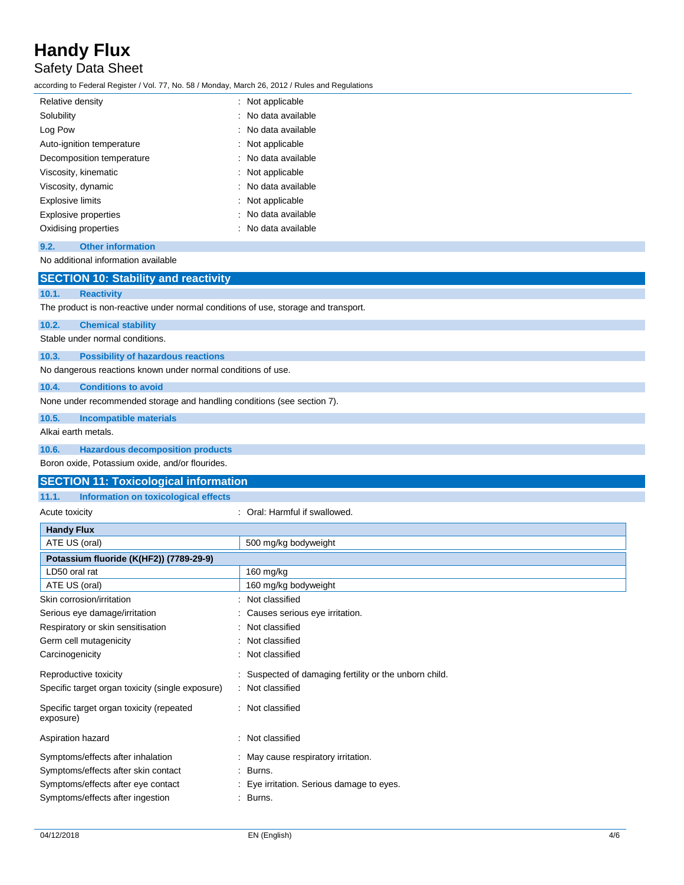## Safety Data Sheet

according to Federal Register / Vol. 77, No. 58 / Monday, March 26, 2012 / Rules and Regulations

| Relative density            | : Not applicable    |
|-----------------------------|---------------------|
| Solubility                  | : No data available |
| Log Pow                     | : No data available |
| Auto-ignition temperature   | : Not applicable    |
| Decomposition temperature   | : No data available |
| Viscosity, kinematic        | : Not applicable    |
| Viscosity, dynamic          | : No data available |
| Explosive limits            | : Not applicable    |
| <b>Explosive properties</b> | : No data available |
| Oxidising properties        | : No data available |
|                             |                     |

#### **9.2. Other information**

No additional information available

|                                                                                    | <b>SECTION 10: Stability and reactivity</b>                  |  |  |  |  |
|------------------------------------------------------------------------------------|--------------------------------------------------------------|--|--|--|--|
| 10.1.                                                                              | <b>Reactivity</b>                                            |  |  |  |  |
| The product is non-reactive under normal conditions of use, storage and transport. |                                                              |  |  |  |  |
| 10.2.                                                                              | <b>Chemical stability</b>                                    |  |  |  |  |
| Stable under normal conditions.                                                    |                                                              |  |  |  |  |
| 10.3.                                                                              | <b>Possibility of hazardous reactions</b>                    |  |  |  |  |
|                                                                                    | No dangerous reactions known under normal conditions of use. |  |  |  |  |
| 10.4.                                                                              | <b>Conditions to avoid</b>                                   |  |  |  |  |
| None under recommended storage and handling conditions (see section 7).            |                                                              |  |  |  |  |
| 10.5.                                                                              | <b>Incompatible materials</b>                                |  |  |  |  |
| Alkai earth metals.                                                                |                                                              |  |  |  |  |
| 10.6.                                                                              | <b>Hazardous decomposition products</b>                      |  |  |  |  |
|                                                                                    | Boron oxide, Potassium oxide, and/or flourides.              |  |  |  |  |
|                                                                                    | <b>SECTION 11: Toxicological information</b>                 |  |  |  |  |
| 11.1.                                                                              | Information on toxicological effects                         |  |  |  |  |

| Acute toxicity                                        | Oral: Harmful if swallowed.                            |
|-------------------------------------------------------|--------------------------------------------------------|
| <b>Handy Flux</b>                                     |                                                        |
| ATE US (oral)                                         | 500 mg/kg bodyweight                                   |
| Potassium fluoride (K(HF2)) (7789-29-9)               |                                                        |
| LD50 oral rat                                         | $160$ mg/kg                                            |
| ATE US (oral)                                         | 160 mg/kg bodyweight                                   |
| Skin corrosion/irritation                             | Not classified                                         |
| Serious eye damage/irritation                         | Causes serious eye irritation.                         |
| Respiratory or skin sensitisation                     | Not classified<br>÷                                    |
| Germ cell mutagenicity                                | Not classified                                         |
| Carcinogenicity                                       | : Not classified                                       |
| Reproductive toxicity                                 | : Suspected of damaging fertility or the unborn child. |
| Specific target organ toxicity (single exposure)      | Not classified                                         |
| Specific target organ toxicity (repeated<br>exposure) | Not classified<br>÷                                    |
| Aspiration hazard                                     | Not classified                                         |
| Symptoms/effects after inhalation                     | : May cause respiratory irritation.                    |
| Symptoms/effects after skin contact                   | Burns.<br>÷                                            |
| Symptoms/effects after eye contact                    | Eye irritation. Serious damage to eyes.                |
| Symptoms/effects after ingestion                      | Burns.                                                 |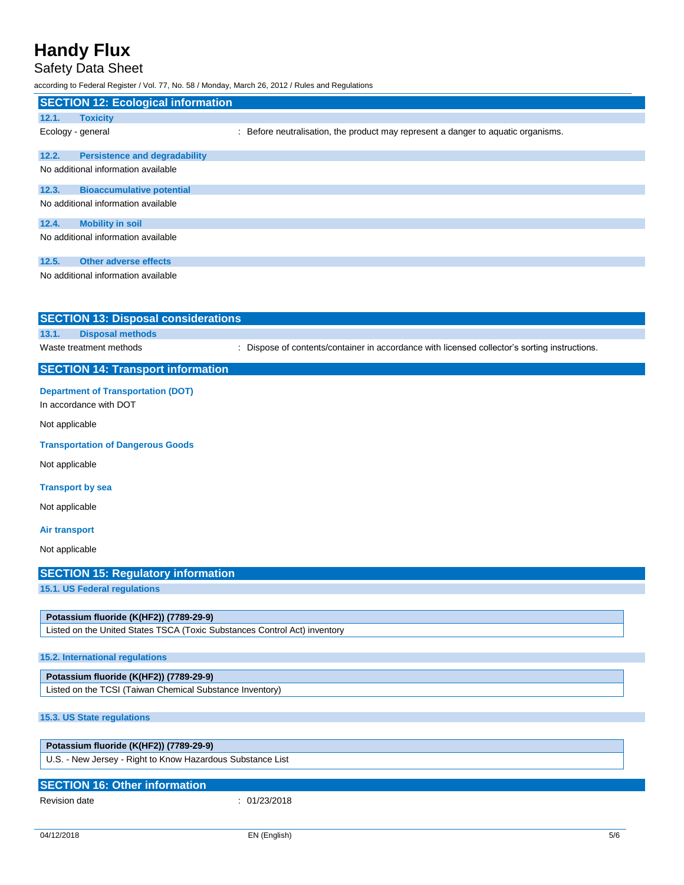## Safety Data Sheet

|                      | Sarety Data Sneet<br>according to Federal Register / Vol. 77, No. 58 / Monday, March 26, 2012 / Rules and Regulations |                                                                                               |
|----------------------|-----------------------------------------------------------------------------------------------------------------------|-----------------------------------------------------------------------------------------------|
|                      | <b>SECTION 12: Ecological information</b>                                                                             |                                                                                               |
| 12.1.                | <b>Toxicity</b>                                                                                                       |                                                                                               |
|                      | Ecology - general                                                                                                     | : Before neutralisation, the product may represent a danger to aquatic organisms.             |
| 12.2.                | <b>Persistence and degradability</b>                                                                                  |                                                                                               |
|                      | No additional information available                                                                                   |                                                                                               |
| 12.3.                | <b>Bioaccumulative potential</b>                                                                                      |                                                                                               |
|                      | No additional information available                                                                                   |                                                                                               |
| 12.4.                | <b>Mobility in soil</b>                                                                                               |                                                                                               |
|                      | No additional information available                                                                                   |                                                                                               |
| 12.5.                | <b>Other adverse effects</b>                                                                                          |                                                                                               |
|                      | No additional information available                                                                                   |                                                                                               |
|                      | <b>SECTION 13: Disposal considerations</b>                                                                            |                                                                                               |
| 13.1.                | <b>Disposal methods</b>                                                                                               |                                                                                               |
|                      | Waste treatment methods                                                                                               | : Dispose of contents/container in accordance with licensed collector's sorting instructions. |
|                      | <b>SECTION 14: Transport information</b>                                                                              |                                                                                               |
|                      | <b>Department of Transportation (DOT)</b><br>In accordance with DOT                                                   |                                                                                               |
| Not applicable       |                                                                                                                       |                                                                                               |
|                      | <b>Transportation of Dangerous Goods</b>                                                                              |                                                                                               |
| Not applicable       |                                                                                                                       |                                                                                               |
|                      | <b>Transport by sea</b>                                                                                               |                                                                                               |
| Not applicable       |                                                                                                                       |                                                                                               |
| <b>Air transport</b> |                                                                                                                       |                                                                                               |
| Not applicable       |                                                                                                                       |                                                                                               |
|                      | <b>SECTION 15: Regulatory information</b>                                                                             |                                                                                               |
|                      | 15.1. US Federal regulations                                                                                          |                                                                                               |
|                      | Potassium fluoride (K(HF2)) (7789-29-9)                                                                               |                                                                                               |
|                      | Listed on the United States TSCA (Toxic Substances Control Act) inventory                                             |                                                                                               |

## **15.2. International regulations**

Listed on the TCSI (Taiwan Chemical Substance Inventory)

## **15.3. US State regulations**

| Potassium fluoride (K(HF2)) (7789-29-9)                    |  |
|------------------------------------------------------------|--|
| U.S. - New Jersey - Right to Know Hazardous Substance List |  |

| <b>SECTION 16: Other information</b> |            |
|--------------------------------------|------------|
| Revision date                        | 01/23/2018 |